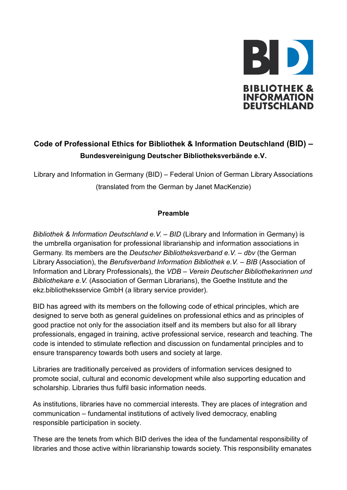

# **Code of Professional Ethics for Bibliothek & Information Deutschland (BID) – Bundesvereinigung Deutscher Bibliotheksverbände e.V.**

Library and Information in Germany (BID) – Federal Union of German Library Associations (translated from the German by Janet MacKenzie)

## **Preamble**

*Bibliothek & Information Deutschland e.V. – BID* (Library and Information in Germany) is the umbrella organisation for professional librarianship and information associations in Germany. Its members are the *Deutscher Bibliotheksverband e.V. – dbv* (the German Library Association), the *Berufsverband Information Bibliothek e.V. – BIB* (Association of Information and Library Professionals), the *VDB – Verein Deutscher Bibliothekarinnen und Bibliothekare e.V.* (Association of German Librarians), the Goethe Institute and the ekz.bibliotheksservice GmbH (a library service provider).

BID has agreed with its members on the following code of ethical principles, which are designed to serve both as general guidelines on professional ethics and as principles of good practice not only for the association itself and its members but also for all library professionals, engaged in training, active professional service, research and teaching. The code is intended to stimulate reflection and discussion on fundamental principles and to ensure transparency towards both users and society at large.

Libraries are traditionally perceived as providers of information services designed to promote social, cultural and economic development while also supporting education and scholarship. Libraries thus fulfil basic information needs.

As institutions, libraries have no commercial interests. They are places of integration and communication – fundamental institutions of actively lived democracy, enabling responsible participation in society.

These are the tenets from which BID derives the idea of the fundamental responsibility of libraries and those active within librarianship towards society. This responsibility emanates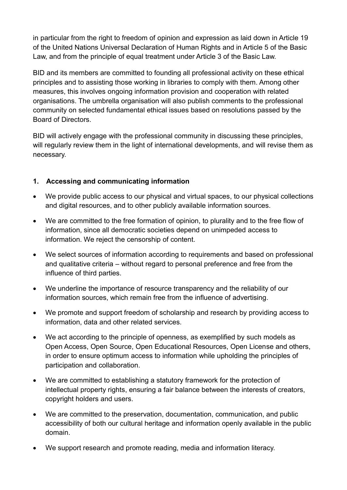in particular from the right to freedom of opinion and expression as laid down in Article 19 of the United Nations Universal Declaration of Human Rights and in Article 5 of the Basic Law, and from the principle of equal treatment under Article 3 of the Basic Law.

BID and its members are committed to founding all professional activity on these ethical principles and to assisting those working in libraries to comply with them. Among other measures, this involves ongoing information provision and cooperation with related organisations. The umbrella organisation will also publish comments to the professional community on selected fundamental ethical issues based on resolutions passed by the Board of Directors.

BID will actively engage with the professional community in discussing these principles, will regularly review them in the light of international developments, and will revise them as necessary.

# **1. Accessing and communicating information**

- We provide public access to our physical and virtual spaces, to our physical collections and digital resources, and to other publicly available information sources.
- We are committed to the free formation of opinion, to plurality and to the free flow of information, since all democratic societies depend on unimpeded access to information. We reject the censorship of content.
- We select sources of information according to requirements and based on professional and qualitative criteria – without regard to personal preference and free from the influence of third parties.
- We underline the importance of resource transparency and the reliability of our information sources, which remain free from the influence of advertising.
- We promote and support freedom of scholarship and research by providing access to information, data and other related services.
- We act according to the principle of openness, as exemplified by such models as Open Access, Open Source, Open Educational Resources, Open License and others, in order to ensure optimum access to information while upholding the principles of participation and collaboration.
- We are committed to establishing a statutory framework for the protection of intellectual property rights, ensuring a fair balance between the interests of creators, copyright holders and users.
- We are committed to the preservation, documentation, communication, and public accessibility of both our cultural heritage and information openly available in the public domain.
- We support research and promote reading, media and information literacy.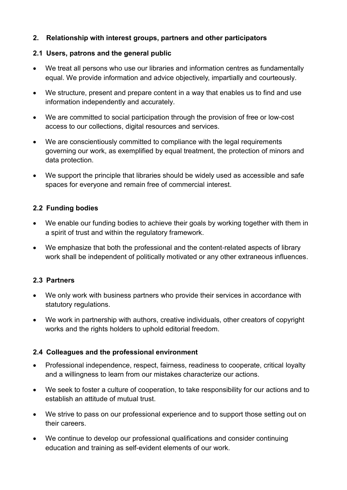## **2. Relationship with interest groups, partners and other participators**

## **2.1 Users, patrons and the general public**

- We treat all persons who use our libraries and information centres as fundamentally equal. We provide information and advice objectively, impartially and courteously.
- We structure, present and prepare content in a way that enables us to find and use information independently and accurately.
- We are committed to social participation through the provision of free or low-cost access to our collections, digital resources and services.
- We are conscientiously committed to compliance with the legal requirements governing our work, as exemplified by equal treatment, the protection of minors and data protection.
- We support the principle that libraries should be widely used as accessible and safe spaces for everyone and remain free of commercial interest.

## **2.2 Funding bodies**

- We enable our funding bodies to achieve their goals by working together with them in a spirit of trust and within the regulatory framework.
- We emphasize that both the professional and the content-related aspects of library work shall be independent of politically motivated or any other extraneous influences.

#### **2.3 Partners**

- We only work with business partners who provide their services in accordance with statutory regulations.
- We work in partnership with authors, creative individuals, other creators of copyright works and the rights holders to uphold editorial freedom.

#### **2.4 Colleagues and the professional environment**

- Professional independence, respect, fairness, readiness to cooperate, critical loyalty and a willingness to learn from our mistakes characterize our actions.
- We seek to foster a culture of cooperation, to take responsibility for our actions and to establish an attitude of mutual trust.
- We strive to pass on our professional experience and to support those setting out on their careers.
- We continue to develop our professional qualifications and consider continuing education and training as self-evident elements of our work.